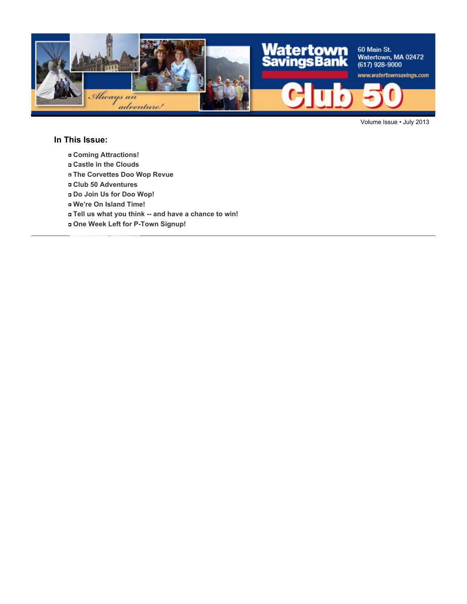

#### **In This Issue:**

- **Coming Attractions!**
- **Castle in the Clouds**
- **The Corvettes Doo Wop Revue**
- **Club 50 Adventures**
- **Do Join Us for Doo Wop!**
- **We're On Island Time!**
- **Tell us what you think -- and have a chance to win!**
- **One Week Left for P-Town Signup!**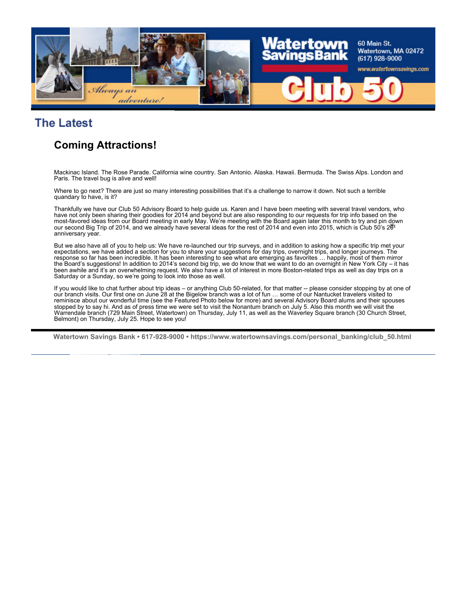

## **The Latest**

## **Coming Attractions!**

Mackinac Island. The Rose Parade. California wine country. San Antonio. Alaska. Hawaii. Bermuda. The Swiss Alps. London and Paris. The travel bug is alive and well!

Where to go next? There are just so many interesting possibilities that it's a challenge to narrow it down. Not such a terrible quandary to have, is it?

Thankfully we have our Club 50 Advisory Board to help guide us. Karen and I have been meeting with several travel vendors, who have not only been sharing their goodies for 2014 and beyond but are also responding to our requests for trip info based on the most-favored ideas from our Board meeting in early May. We're meeting with the Board again later this month to try and pin down<br>our second Big Trip of 2014, and we already have several ideas for the rest of 2014 and even i anniversary year.

But we also have all of you to help us: We have re-launched our trip surveys, and in addition to asking how a specific trip met your expectations, we have added a section for you to share your suggestions for day trips, overnight trips, and longer journeys. The response so far has been incredible. It has been interesting to see what are emerging as favorites … happily, most of them mirror the Board's suggestions! In addition to 2014's second big trip, we do know that we want to do an overnight in New York City – it has been awhile and it's an overwhelming request. We also have a lot of interest in more Boston-related trips as well as day trips on a Saturday or a Sunday, so we're going to look into those as well.

If you would like to chat further about trip ideas – or anything Club 50-related, for that matter -- please consider stopping by at one of our branch visits. Our first one on June 28 at the Bigelow branch was a lot of fun … some of our Nantucket travelers visited to reminisce about our wonderful time (see the Featured Photo below for more) and several Advisory Board alums and their spouses stopped by to say hi. And as of press time we were set to visit the Nonantum branch on July 5. Also this month we will visit the Warrendale branch (729 Main Street, Watertown) on Thursday, July 11, as well as the Waverley Square branch (30 Church Street, Belmont) on Thursday, July 25. Hope to see you!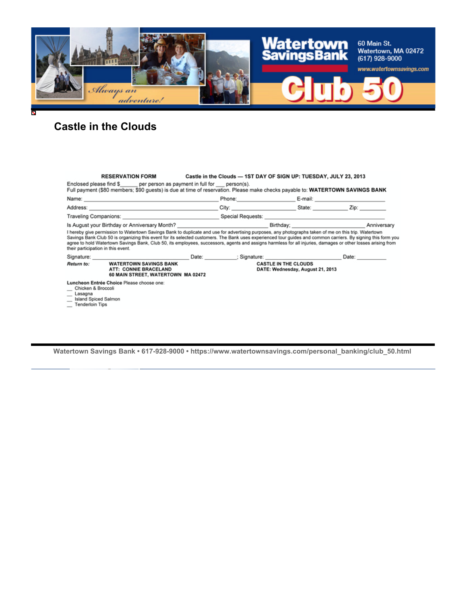

## **Castle in the Clouds**

|                                                                                                                                                                                                                                                                                                                                                                                                                                                                                                                              | <b>RESERVATION FORM</b><br>Enclosed please find \$ per person as payment in full for person(s).<br>Full payment (\$80 members: \$90 quests) is due at time of reservation. Please make checks payable to: WATERTOWN SAVINGS BANK     |  |                                                                 | Castle in the Clouds - 1ST DAY OF SIGN UP: TUESDAY, JULY 23, 2013 |                    |  |  |  |  |
|------------------------------------------------------------------------------------------------------------------------------------------------------------------------------------------------------------------------------------------------------------------------------------------------------------------------------------------------------------------------------------------------------------------------------------------------------------------------------------------------------------------------------|--------------------------------------------------------------------------------------------------------------------------------------------------------------------------------------------------------------------------------------|--|-----------------------------------------------------------------|-------------------------------------------------------------------|--------------------|--|--|--|--|
|                                                                                                                                                                                                                                                                                                                                                                                                                                                                                                                              |                                                                                                                                                                                                                                      |  | Phone: E-mail: E-mail:                                          |                                                                   |                    |  |  |  |  |
|                                                                                                                                                                                                                                                                                                                                                                                                                                                                                                                              |                                                                                                                                                                                                                                      |  |                                                                 |                                                                   |                    |  |  |  |  |
|                                                                                                                                                                                                                                                                                                                                                                                                                                                                                                                              |                                                                                                                                                                                                                                      |  |                                                                 |                                                                   |                    |  |  |  |  |
| I hereby give permission to Watertown Savings Bank to duplicate and use for advertising purposes, any photographs taken of me on this trip. Watertown<br>Savings Bank Club 50 is organizing this event for its selected customers. The Bank uses experienced tour guides and common carriers. By signing this form you<br>agree to hold Watertown Savings Bank, Club 50, its employees, successors, agents and assigns harmless for all injuries, damages or other losses arising from<br>their participation in this event. |                                                                                                                                                                                                                                      |  |                                                                 |                                                                   |                    |  |  |  |  |
|                                                                                                                                                                                                                                                                                                                                                                                                                                                                                                                              | Signature: <u>Contract Contract Contract Contract Contract Contract Contract Contract Contract Contract Contract Contract Contract Contract Contract Contract Contract Contract Contract Contract Contract Contract Contract Con</u> |  |                                                                 |                                                                   | Date: <b>Date:</b> |  |  |  |  |
| Return to:                                                                                                                                                                                                                                                                                                                                                                                                                                                                                                                   | <b>WATERTOWN SAVINGS BANK</b><br><b>ATT: CONNIE BRACELAND</b><br>60 MAIN STREET, WATERTOWN MA 02472                                                                                                                                  |  | <b>CASTLE IN THE CLOUDS</b><br>DATE: Wednesday, August 21, 2013 |                                                                   |                    |  |  |  |  |
| Chicken & Broccoli<br>Lasagna<br>Island Spiced Salmon<br>Tenderloin Tips                                                                                                                                                                                                                                                                                                                                                                                                                                                     | Luncheon Entrée Choice Please choose one:                                                                                                                                                                                            |  |                                                                 |                                                                   |                    |  |  |  |  |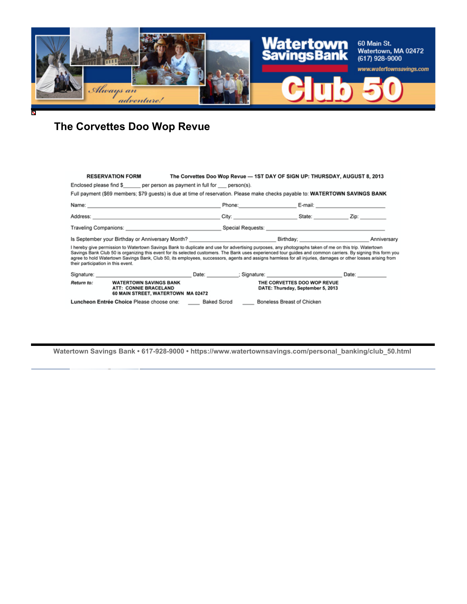

# **The Corvettes Doo Wop Revue**

|                                                                                                                                                                                                                                                                                                                                                                                                                                                                                                                              | <b>RESERVATION FORM</b>                                                                                                                                                                                                        | The Corvettes Doo Wop Revue - 1ST DAY OF SIGN UP: THURSDAY, AUGUST 8. 2013 |                                        |                                                                  |       |  |  |  |  |
|------------------------------------------------------------------------------------------------------------------------------------------------------------------------------------------------------------------------------------------------------------------------------------------------------------------------------------------------------------------------------------------------------------------------------------------------------------------------------------------------------------------------------|--------------------------------------------------------------------------------------------------------------------------------------------------------------------------------------------------------------------------------|----------------------------------------------------------------------------|----------------------------------------|------------------------------------------------------------------|-------|--|--|--|--|
| Enclosed please find \$ per person as payment in full for person(s).                                                                                                                                                                                                                                                                                                                                                                                                                                                         |                                                                                                                                                                                                                                |                                                                            |                                        |                                                                  |       |  |  |  |  |
|                                                                                                                                                                                                                                                                                                                                                                                                                                                                                                                              | Full payment (\$69 members; \$79 guests) is due at time of reservation. Please make checks payable to: WATERTOWN SAVINGS BANK                                                                                                  |                                                                            |                                        |                                                                  |       |  |  |  |  |
|                                                                                                                                                                                                                                                                                                                                                                                                                                                                                                                              |                                                                                                                                                                                                                                |                                                                            |                                        |                                                                  |       |  |  |  |  |
|                                                                                                                                                                                                                                                                                                                                                                                                                                                                                                                              |                                                                                                                                                                                                                                |                                                                            |                                        |                                                                  |       |  |  |  |  |
|                                                                                                                                                                                                                                                                                                                                                                                                                                                                                                                              |                                                                                                                                                                                                                                |                                                                            |                                        |                                                                  |       |  |  |  |  |
|                                                                                                                                                                                                                                                                                                                                                                                                                                                                                                                              |                                                                                                                                                                                                                                |                                                                            |                                        |                                                                  |       |  |  |  |  |
| I hereby give permission to Watertown Savings Bank to duplicate and use for advertising purposes, any photographs taken of me on this trip. Watertown<br>Savings Bank Club 50 is organizing this event for its selected customers. The Bank uses experienced tour guides and common carriers. By signing this form you<br>agree to hold Watertown Savings Bank, Club 50, its employees, successors, agents and assigns harmless for all injuries, damages or other losses arising from<br>their participation in this event. |                                                                                                                                                                                                                                |                                                                            |                                        |                                                                  |       |  |  |  |  |
|                                                                                                                                                                                                                                                                                                                                                                                                                                                                                                                              | Signature: Signature: Signature: Signature: Signature: Signature: Signature: Signature: Signature: Signature: Signature: Signature: Signature: Signature: Signature: Signature: Signature: Signature: Signature: Signature: Si |                                                                            |                                        |                                                                  | Date: |  |  |  |  |
| <b>Return to:</b>                                                                                                                                                                                                                                                                                                                                                                                                                                                                                                            | <b>WATERTOWN SAVINGS BANK</b><br>ATT: CONNIE BRACELAND<br>60 MAIN STREET, WATERTOWN MA 02472                                                                                                                                   |                                                                            |                                        | THE CORVETTES DOO WOP REVUE<br>DATE: Thursday, September 5, 2013 |       |  |  |  |  |
|                                                                                                                                                                                                                                                                                                                                                                                                                                                                                                                              | Luncheon Entrée Choice Please choose one:                                                                                                                                                                                      |                                                                            | Baked Scrod Boneless Breast of Chicken |                                                                  |       |  |  |  |  |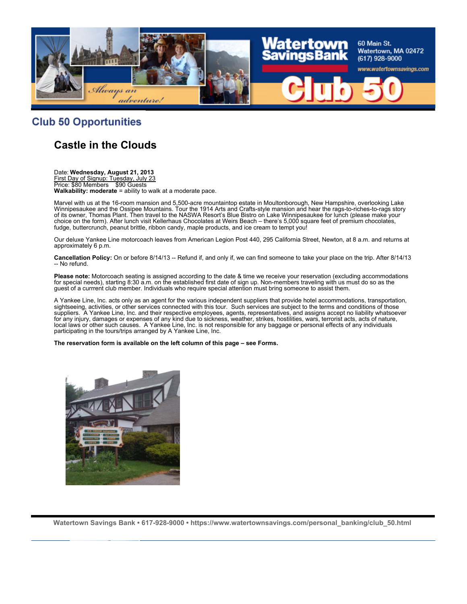

#### **Club 50 Opportunities**

## **Castle in the Clouds**

Date: **Wednesday, August 21, 2013** First Day of Signup: Tuesday, July 23 Price: \$80 Members \$90 Guests **Walkability: moderate** = ability to walk at a moderate pace.

Marvel with us at the 16-room mansion and 5,500-acre mountaintop estate in Moultonborough, New Hampshire, overlooking Lake Winnipesaukee and the Ossipee Mountains. Tour the 1914 Arts and Crafts-style mansion and hear the rags-to-riches-to-rags story of its owner, Thomas Plant. Then travel to the NASWA Resort's Blue Bistro on Lake Winnipesaukee for lunch (please make your choice on the form). After lunch visit Kellerhaus Chocolates at Weirs Beach – there's 5,000 square feet of premium chocolates, fudge, buttercrunch, peanut brittle, ribbon candy, maple products, and ice cream to tempt you!

Our deluxe Yankee Line motorcoach leaves from American Legion Post 440, 295 California Street, Newton, at 8 a.m. and returns at approximately 6 p.m.

**Cancellation Policy:** On or before 8/14/13 -- Refund if, and only if, we can find someone to take your place on the trip. After 8/14/13 -- No refund.

**Please note:** Motorcoach seating is assigned according to the date & time we receive your reservation (excluding accommodations for special needs), starting 8:30 a.m. on the established first date of sign up. Non-members traveling with us must do so as the guest of a currrent club member. Individuals who require special attention must bring someone to assist them.

A Yankee Line, Inc. acts only as an agent for the various independent suppliers that provide hotel accommodations, transportation, sightseeing, activities, or other services connected with this tour. Such services are subject to the terms and conditions of those suppliers. A Yankee Line, Inc. and their respective employees, agents, representatives, and assigns accept no liability whatsoever for any injury, damages or expenses of any kind due to sickness, weather, strikes, hostilities, wars, terrorist acts, acts of nature, local laws or other such causes. A Yankee Line, Inc. is not responsible for any baggage or personal effects of any individuals participating in the tours/trips arranged by A Yankee Line, Inc.

#### **The reservation form is available on the left column of this page – see Forms.**

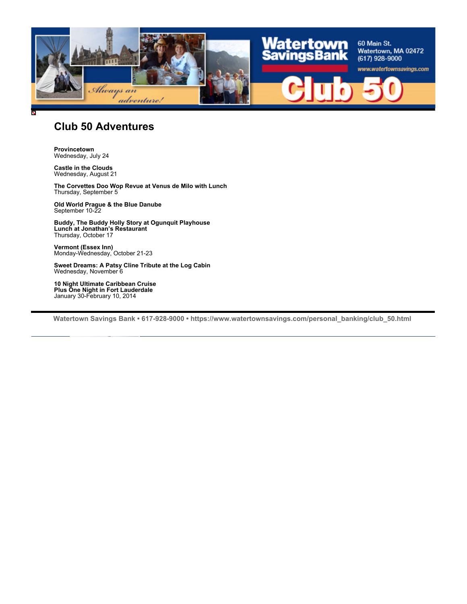

### **Club 50 Adventures**

**Provincetown** Wednesday, July 24

**Castle in the Clouds** Wednesday, August 21

**The Corvettes Doo Wop Revue at Venus de Milo with Lunch** Thursday, September 5

**Old World Prague & the Blue Danube** September 10-22

**Buddy, The Buddy Holly Story at Ogunquit Playhouse Lunch at Jonathan's Restaurant** Thursday, October 17

**Vermont (Essex Inn)** Monday-Wednesday, October 21-23

**Sweet Dreams: A Patsy Cline Tribute at the Log Cabin** Wednesday, November 6

**10 Night Ultimate Caribbean Cruise Plus One Night in Fort Lauderdale** January 30-February 10, 2014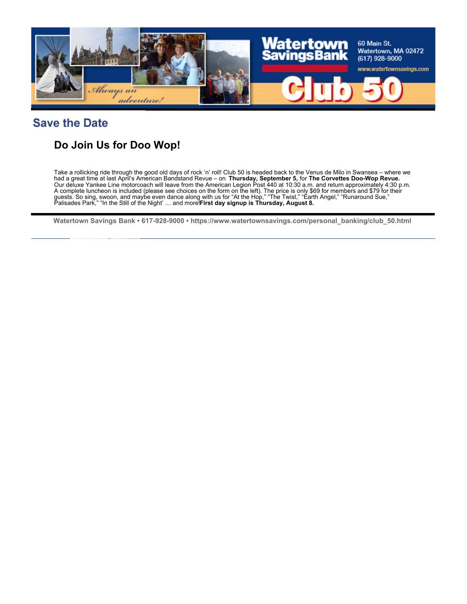

## **Save the Date**

## **Do Join Us for Doo Wop!**

Take a rollicking ride through the good old days of rock 'n' roll! Club 50 is headed back to the Venus de Milo in Swansea – where we had a great time at last April's American Bandstand Revue – on **Thursday, September 5,** for **The Corvettes Doo-Wop Revue.** Our deluxe Yankee Line motorcoach will leave from the American Legion Post 440 at 10:30 a.m. and return approximately 4:30 p.m. A complete luncheon is included (please see choices on the form on the left). The price is only \$69 for members and \$79 for their guests. So sing, swoon, and maybe even dance along with us for "At the Hop," "The Twist," "Earth Angel," "Runaround Sue," Palisades Park," "In the Still of the Night' … and more! **First day signup is Thursday, August 8.**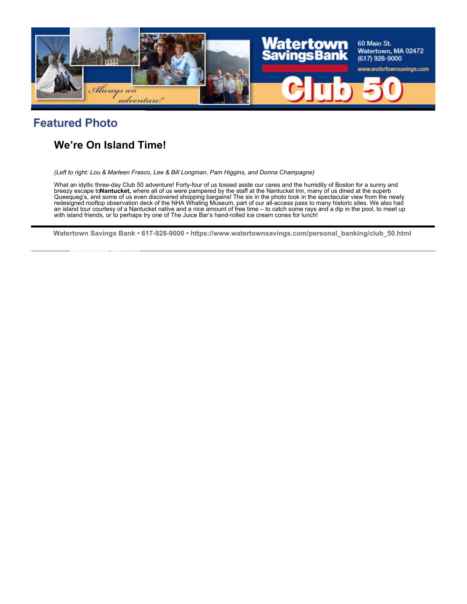

## **Featured Photo**

## **We're On Island Time!**

*(Left to right: Lou & Marleen Frasco, Lee & Bill Longman, Pam Higgins, and Donna Champagne)*

What an idyllic three-day Club 50 adventure! Forty-four of us tossed aside our cares and the humidity of Boston for a sunny and breezy escape to**Nantucket**, where all of us were pampered by the staff at the Nantucket Inn, many of us dined at the superb Queequeg's, and some of us even discovered shopping bargains! The six in the photo took in the spectacular view from the newly redesigned rooftop observation deck of the NHA Whaling Museum, part of our all-access pass to many historic sites. We also had an island tour courtesy of a Nantucket native and a nice amount of free time – to catch some rays and a dip in the pool, to meet up with island friends, or to perhaps try one of The Juice Bar's hand-rolled ice cream cones for lunch!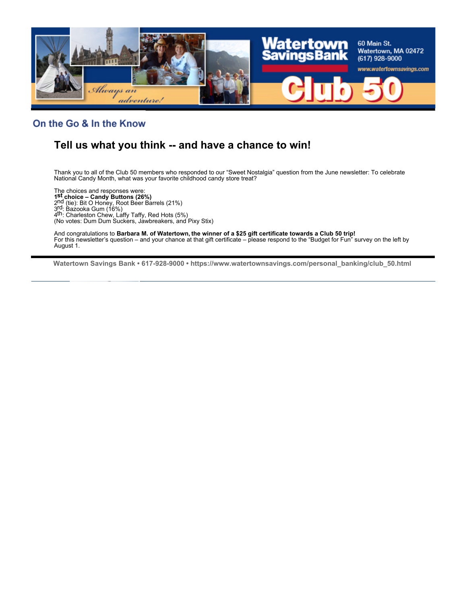

#### On the Go & In the Know

## **Tell us what you think -- and have a chance to win!**

Thank you to all of the Club 50 members who responded to our "Sweet Nostalgia" question from the June newsletter: To celebrate National Candy Month, what was your favorite childhood candy store treat?

The choices and responses were: **1st choice – Candy Buttons (26%)** 2nd (tie): Bit O Honey, Root Beer Barrels (21%) 3rd: Bazooka Gum (16%) 4th: Charleston Chew, Laffy Taffy, Red Hots (5%) (No votes: Dum Dum Suckers, Jawbreakers, and Pixy Stix)

And congratulations to **Barbara M. of Watertown, the winner of a \$25 gift certificate towards a Club 50 trip!** For this newsletter's question – and your chance at that gift certificate – please respond to the "Budget for Fun" survey on the left by August 1.